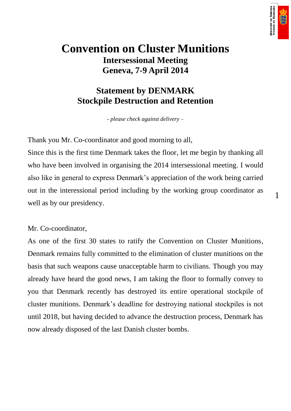

1

# **Convention on Cluster Munitions Intersessional Meeting Geneva, 7-9 April 2014**

# **Statement by DENMARK Stockpile Destruction and Retention**

*- please check against delivery –*

Thank you Mr. Co-coordinator and good morning to all,

Since this is the first time Denmark takes the floor, let me begin by thanking all who have been involved in organising the 2014 intersessional meeting. I would also like in general to express Denmark's appreciation of the work being carried out in the interessional period including by the working group coordinator as well as by our presidency.

Mr. Co-coordinator,

As one of the first 30 states to ratify the Convention on Cluster Munitions, Denmark remains fully committed to the elimination of cluster munitions on the basis that such weapons cause unacceptable harm to civilians. Though you may already have heard the good news, I am taking the floor to formally convey to you that Denmark recently has destroyed its entire operational stockpile of cluster munitions. Denmark's deadline for destroying national stockpiles is not until 2018, but having decided to advance the destruction process, Denmark has now already disposed of the last Danish cluster bombs.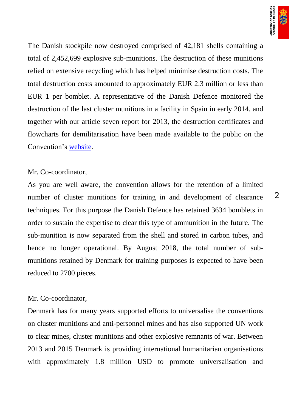

The Danish stockpile now destroyed comprised of 42,181 shells containing a total of 2,452,699 explosive sub-munitions. The destruction of these munitions relied on extensive recycling which has helped minimise destruction costs. The total destruction costs amounted to approximately EUR 2.3 million or less than EUR 1 per bomblet. A representative of the Danish Defence monitored the destruction of the last cluster munitions in a facility in Spain in early 2014, and together with our article seven report for 2013, the destruction certificates and flowcharts for demilitarisation have been made available to the public on the Convention's [website.](http://www.unog.ch/80256EE600585943/(httpPages)/84610CE6A9FDDACDC1257823003BBC39?OpenDocument)

#### Mr. Co-coordinator,

As you are well aware, the convention allows for the retention of a limited number of cluster munitions for training in and development of clearance techniques. For this purpose the Danish Defence has retained 3634 bomblets in order to sustain the expertise to clear this type of ammunition in the future. The sub-munition is now separated from the shell and stored in carbon tubes, and hence no longer operational. By August 2018, the total number of submunitions retained by Denmark for training purposes is expected to have been reduced to 2700 pieces.

### Mr. Co-coordinator,

Denmark has for many years supported efforts to universalise the conventions on cluster munitions and anti-personnel mines and has also supported UN work to clear mines, cluster munitions and other explosive remnants of war. Between 2013 and 2015 Denmark is providing international humanitarian organisations with approximately 1.8 million USD to promote universalisation and